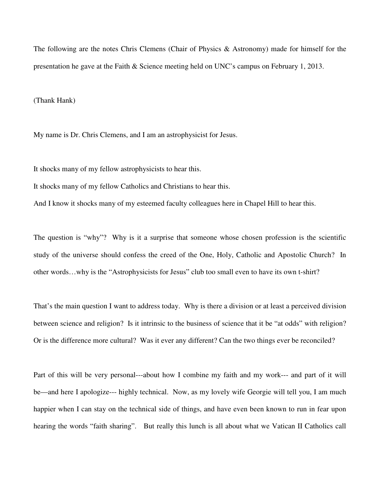The following are the notes Chris Clemens (Chair of Physics & Astronomy) made for himself for the presentation he gave at the Faith & Science meeting held on UNC's campus on February 1, 2013.

(Thank Hank)

My name is Dr. Chris Clemens, and I am an astrophysicist for Jesus.

It shocks many of my fellow astrophysicists to hear this.

It shocks many of my fellow Catholics and Christians to hear this.

And I know it shocks many of my esteemed faculty colleagues here in Chapel Hill to hear this.

The question is "why"? Why is it a surprise that someone whose chosen profession is the scientific study of the universe should confess the creed of the One, Holy, Catholic and Apostolic Church? In other words…why is the "Astrophysicists for Jesus" club too small even to have its own t-shirt?

That's the main question I want to address today. Why is there a division or at least a perceived division between science and religion? Is it intrinsic to the business of science that it be "at odds" with religion? Or is the difference more cultural? Was it ever any different? Can the two things ever be reconciled?

Part of this will be very personal---about how I combine my faith and my work--- and part of it will be—and here I apologize--- highly technical. Now, as my lovely wife Georgie will tell you, I am much happier when I can stay on the technical side of things, and have even been known to run in fear upon hearing the words "faith sharing". But really this lunch is all about what we Vatican II Catholics call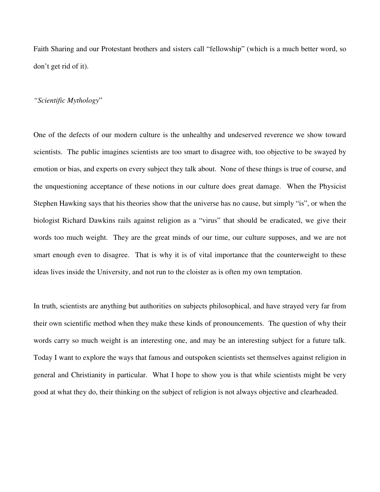Faith Sharing and our Protestant brothers and sisters call "fellowship" (which is a much better word, so don't get rid of it).

# *"Scientific Mythology*"

One of the defects of our modern culture is the unhealthy and undeserved reverence we show toward scientists. The public imagines scientists are too smart to disagree with, too objective to be swayed by emotion or bias, and experts on every subject they talk about. None of these things is true of course, and the unquestioning acceptance of these notions in our culture does great damage. When the Physicist Stephen Hawking says that his theories show that the universe has no cause, but simply "is", or when the biologist Richard Dawkins rails against religion as a "virus" that should be eradicated, we give their words too much weight. They are the great minds of our time, our culture supposes, and we are not smart enough even to disagree. That is why it is of vital importance that the counterweight to these ideas lives inside the University, and not run to the cloister as is often my own temptation.

In truth, scientists are anything but authorities on subjects philosophical, and have strayed very far from their own scientific method when they make these kinds of pronouncements. The question of why their words carry so much weight is an interesting one, and may be an interesting subject for a future talk. Today I want to explore the ways that famous and outspoken scientists set themselves against religion in general and Christianity in particular. What I hope to show you is that while scientists might be very good at what they do, their thinking on the subject of religion is not always objective and clearheaded.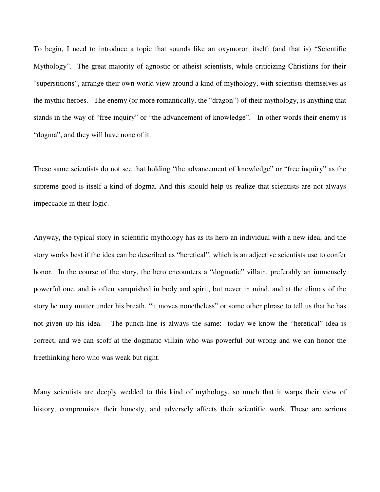To begin, I need to introduce a topic that sounds like an oxymoron itself: (and that is) "Scientific Mythology". The great majority of agnostic or atheist scientists, while criticizing Christians for their "superstitions", arrange their own world view around a kind of mythology, with scientists themselves as the mythic heroes. The enemy (or more romantically, the "dragon") of their mythology, is anything that stands in the way of "free inquiry" or "the advancement of knowledge". In other words their enemy is "dogma", and they will have none of it.

These same scientists do not see that holding "the advancement of knowledge" or "free inquiry" as the supreme good is itself a kind of dogma. And this should help us realize that scientists are not always impeccable in their logic.

Anyway, the typical story in scientific mythology has as its hero an individual with a new idea, and the story works best if the idea can be described as "heretical", which is an adjective scientists use to confer honor. In the course of the story, the hero encounters a "dogmatic" villain, preferably an immensely powerful one, and is often vanquished in body and spirit, but never in mind, and at the climax of the story he may mutter under his breath, "it moves nonetheless" or some other phrase to tell us that he has not given up his idea. The punch-line is always the same: today we know the "heretical" idea is correct, and we can scoff at the dogmatic villain who was powerful but wrong and we can honor the freethinking hero who was weak but right.

Many scientists are deeply wedded to this kind of mythology, so much that it warps their view of history, compromises their honesty, and adversely affects their scientific work. These are serious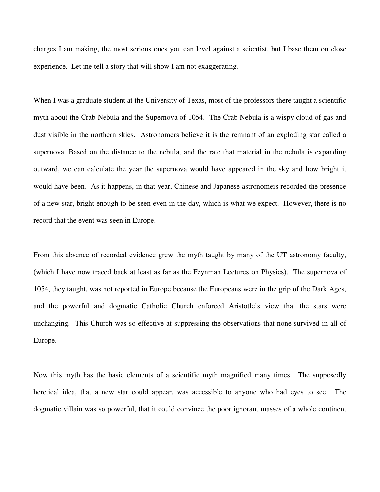charges I am making, the most serious ones you can level against a scientist, but I base them on close experience. Let me tell a story that will show I am not exaggerating.

When I was a graduate student at the University of Texas, most of the professors there taught a scientific myth about the Crab Nebula and the Supernova of 1054. The Crab Nebula is a wispy cloud of gas and dust visible in the northern skies. Astronomers believe it is the remnant of an exploding star called a supernova. Based on the distance to the nebula, and the rate that material in the nebula is expanding outward, we can calculate the year the supernova would have appeared in the sky and how bright it would have been. As it happens, in that year, Chinese and Japanese astronomers recorded the presence of a new star, bright enough to be seen even in the day, which is what we expect. However, there is no record that the event was seen in Europe.

From this absence of recorded evidence grew the myth taught by many of the UT astronomy faculty, (which I have now traced back at least as far as the Feynman Lectures on Physics). The supernova of 1054, they taught, was not reported in Europe because the Europeans were in the grip of the Dark Ages, and the powerful and dogmatic Catholic Church enforced Aristotle's view that the stars were unchanging. This Church was so effective at suppressing the observations that none survived in all of Europe.

Now this myth has the basic elements of a scientific myth magnified many times. The supposedly heretical idea, that a new star could appear, was accessible to anyone who had eyes to see. The dogmatic villain was so powerful, that it could convince the poor ignorant masses of a whole continent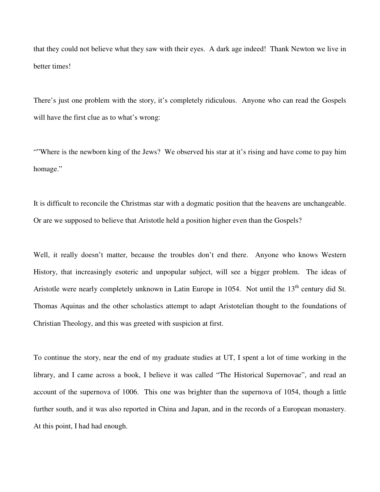that they could not believe what they saw with their eyes. A dark age indeed! Thank Newton we live in better times!

There's just one problem with the story, it's completely ridiculous. Anyone who can read the Gospels will have the first clue as to what's wrong:

""Where is the newborn king of the Jews? We observed his star at it's rising and have come to pay him homage."

It is difficult to reconcile the Christmas star with a dogmatic position that the heavens are unchangeable. Or are we supposed to believe that Aristotle held a position higher even than the Gospels?

Well, it really doesn't matter, because the troubles don't end there. Anyone who knows Western History, that increasingly esoteric and unpopular subject, will see a bigger problem. The ideas of Aristotle were nearly completely unknown in Latin Europe in 1054. Not until the  $13<sup>th</sup>$  century did St. Thomas Aquinas and the other scholastics attempt to adapt Aristotelian thought to the foundations of Christian Theology, and this was greeted with suspicion at first.

To continue the story, near the end of my graduate studies at UT, I spent a lot of time working in the library, and I came across a book, I believe it was called "The Historical Supernovae", and read an account of the supernova of 1006. This one was brighter than the supernova of 1054, though a little further south, and it was also reported in China and Japan, and in the records of a European monastery. At this point, I had had enough.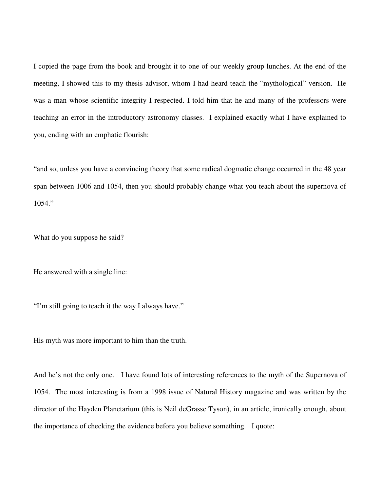I copied the page from the book and brought it to one of our weekly group lunches. At the end of the meeting, I showed this to my thesis advisor, whom I had heard teach the "mythological" version. He was a man whose scientific integrity I respected. I told him that he and many of the professors were teaching an error in the introductory astronomy classes. I explained exactly what I have explained to you, ending with an emphatic flourish:

"and so, unless you have a convincing theory that some radical dogmatic change occurred in the 48 year span between 1006 and 1054, then you should probably change what you teach about the supernova of 1054."

What do you suppose he said?

He answered with a single line:

"I'm still going to teach it the way I always have."

His myth was more important to him than the truth.

And he's not the only one. I have found lots of interesting references to the myth of the Supernova of 1054. The most interesting is from a 1998 issue of Natural History magazine and was written by the director of the Hayden Planetarium (this is Neil deGrasse Tyson), in an article, ironically enough, about the importance of checking the evidence before you believe something. I quote: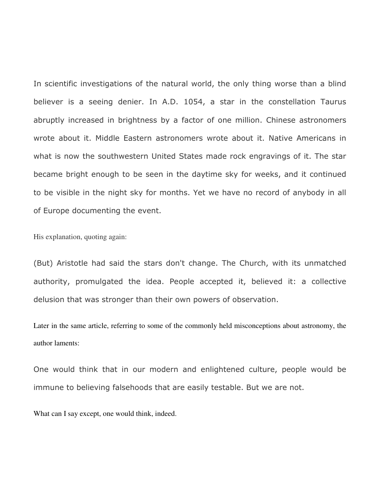In scientific investigations of the natural world, the only thing worse than a blind believer is a seeing denier. In A.D. 1054, a star in the constellation Taurus abruptly increased in brightness by a factor of one million. Chinese astronomers wrote about it. Middle Eastern astronomers wrote about it. Native Americans in what is now the southwestern United States made rock engravings of it. The star became bright enough to be seen in the daytime sky for weeks, and it continued to be visible in the night sky for months. Yet we have no record of anybody in all of Europe documenting the event.

His explanation, quoting again:

(But) Aristotle had said the stars don't change. The Church, with its unmatched authority, promulgated the idea. People accepted it, believed it: a collective delusion that was stronger than their own powers of observation.

Later in the same article, referring to some of the commonly held misconceptions about astronomy, the author laments:

One would think that in our modern and enlightened culture, people would be immune to believing falsehoods that are easily testable. But we are not.

What can I say except, one would think, indeed.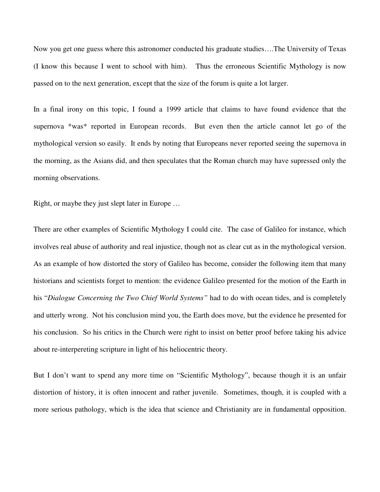Now you get one guess where this astronomer conducted his graduate studies….The University of Texas (I know this because I went to school with him). Thus the erroneous Scientific Mythology is now passed on to the next generation, except that the size of the forum is quite a lot larger.

In a final irony on this topic, I found a 1999 article that claims to have found evidence that the supernova \*was\* reported in European records. But even then the article cannot let go of the mythological version so easily. It ends by noting that Europeans never reported seeing the supernova in the morning, as the Asians did, and then speculates that the Roman church may have supressed only the morning observations.

Right, or maybe they just slept later in Europe …

There are other examples of Scientific Mythology I could cite. The case of Galileo for instance, which involves real abuse of authority and real injustice, though not as clear cut as in the mythological version. As an example of how distorted the story of Galileo has become, consider the following item that many historians and scientists forget to mention: the evidence Galileo presented for the motion of the Earth in his "*Dialogue Concerning the Two Chief World Systems"* had to do with ocean tides, and is completely and utterly wrong. Not his conclusion mind you, the Earth does move, but the evidence he presented for his conclusion. So his critics in the Church were right to insist on better proof before taking his advice about re-interpereting scripture in light of his heliocentric theory.

But I don't want to spend any more time on "Scientific Mythology", because though it is an unfair distortion of history, it is often innocent and rather juvenile. Sometimes, though, it is coupled with a more serious pathology, which is the idea that science and Christianity are in fundamental opposition.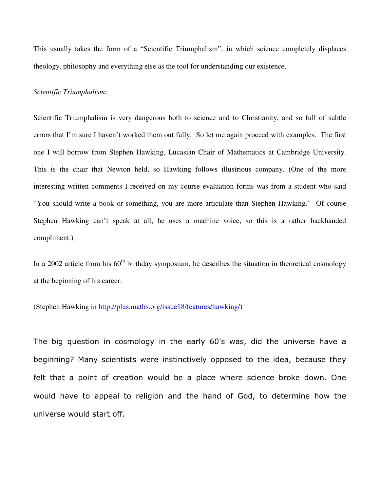This usually takes the form of a "Scientific Triumphalism", in which science completely displaces theology, philosophy and everything else as the tool for understanding our existence.

#### *Scientific Triumphalism:*

Scientific Triumphalism is very dangerous both to science and to Christianity, and so full of subtle errors that I'm sure I haven't worked them out fully. So let me again proceed with examples. The first one I will borrow from Stephen Hawking, Lucasian Chair of Mathematics at Cambridge University. This is the chair that Newton held, so Hawking follows illustrious company. (One of the more interesting written comments I received on my course evaluation forms was from a student who said "You should write a book or something, you are more articulate than Stephen Hawking." Of course Stephen Hawking can't speak at all, he uses a machine voice, so this is a rather backhanded compliment.)

In a 2002 article from his  $60<sup>th</sup>$  birthday symposium, he describes the situation in theoretical cosmology at the beginning of his career:

(Stephen Hawking in http://plus.maths.org/issue18/features/hawking/)

The big question in cosmology in the early 60's was, did the universe have a beginning? Many scientists were instinctively opposed to the idea, because they felt that a point of creation would be a place where science broke down. One would have to appeal to religion and the hand of God, to determine how the universe would start off.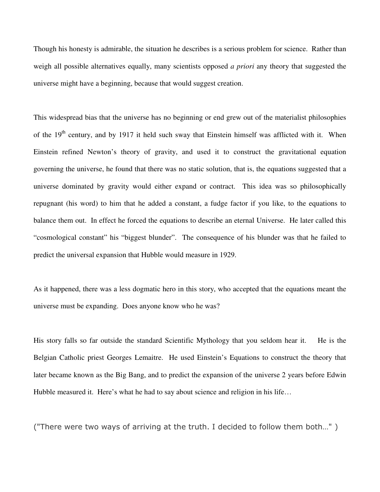Though his honesty is admirable, the situation he describes is a serious problem for science. Rather than weigh all possible alternatives equally, many scientists opposed *a priori* any theory that suggested the universe might have a beginning, because that would suggest creation.

This widespread bias that the universe has no beginning or end grew out of the materialist philosophies of the 19<sup>th</sup> century, and by 1917 it held such sway that Einstein himself was afflicted with it. When Einstein refined Newton's theory of gravity, and used it to construct the gravitational equation governing the universe, he found that there was no static solution, that is, the equations suggested that a universe dominated by gravity would either expand or contract. This idea was so philosophically repugnant (his word) to him that he added a constant, a fudge factor if you like, to the equations to balance them out. In effect he forced the equations to describe an eternal Universe. He later called this "cosmological constant" his "biggest blunder". The consequence of his blunder was that he failed to predict the universal expansion that Hubble would measure in 1929.

As it happened, there was a less dogmatic hero in this story, who accepted that the equations meant the universe must be expanding. Does anyone know who he was?

His story falls so far outside the standard Scientific Mythology that you seldom hear it. He is the Belgian Catholic priest Georges Lemaitre. He used Einstein's Equations to construct the theory that later became known as the Big Bang, and to predict the expansion of the universe 2 years before Edwin Hubble measured it. Here's what he had to say about science and religion in his life...

("There were two ways of arriving at the truth. I decided to follow them both…" )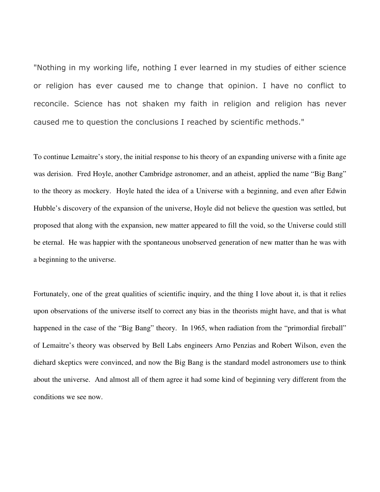"Nothing in my working life, nothing I ever learned in my studies of either science or religion has ever caused me to change that opinion. I have no conflict to reconcile. Science has not shaken my faith in religion and religion has never caused me to question the conclusions I reached by scientific methods."

To continue Lemaitre's story, the initial response to his theory of an expanding universe with a finite age was derision. Fred Hoyle, another Cambridge astronomer, and an atheist, applied the name "Big Bang" to the theory as mockery. Hoyle hated the idea of a Universe with a beginning, and even after Edwin Hubble's discovery of the expansion of the universe, Hoyle did not believe the question was settled, but proposed that along with the expansion, new matter appeared to fill the void, so the Universe could still be eternal. He was happier with the spontaneous unobserved generation of new matter than he was with a beginning to the universe.

Fortunately, one of the great qualities of scientific inquiry, and the thing I love about it, is that it relies upon observations of the universe itself to correct any bias in the theorists might have, and that is what happened in the case of the "Big Bang" theory. In 1965, when radiation from the "primordial fireball" of Lemaitre's theory was observed by Bell Labs engineers Arno Penzias and Robert Wilson, even the diehard skeptics were convinced, and now the Big Bang is the standard model astronomers use to think about the universe. And almost all of them agree it had some kind of beginning very different from the conditions we see now.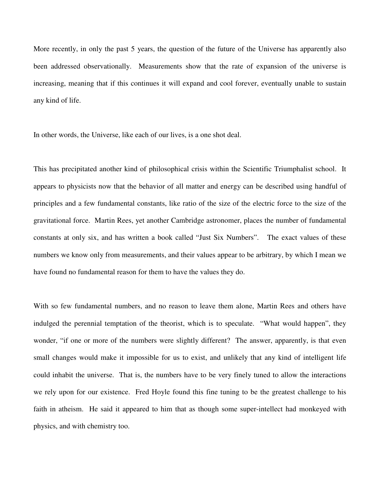More recently, in only the past 5 years, the question of the future of the Universe has apparently also been addressed observationally. Measurements show that the rate of expansion of the universe is increasing, meaning that if this continues it will expand and cool forever, eventually unable to sustain any kind of life.

In other words, the Universe, like each of our lives, is a one shot deal.

This has precipitated another kind of philosophical crisis within the Scientific Triumphalist school. It appears to physicists now that the behavior of all matter and energy can be described using handful of principles and a few fundamental constants, like ratio of the size of the electric force to the size of the gravitational force. Martin Rees, yet another Cambridge astronomer, places the number of fundamental constants at only six, and has written a book called "Just Six Numbers". The exact values of these numbers we know only from measurements, and their values appear to be arbitrary, by which I mean we have found no fundamental reason for them to have the values they do.

With so few fundamental numbers, and no reason to leave them alone, Martin Rees and others have indulged the perennial temptation of the theorist, which is to speculate. "What would happen", they wonder, "if one or more of the numbers were slightly different? The answer, apparently, is that even small changes would make it impossible for us to exist, and unlikely that any kind of intelligent life could inhabit the universe. That is, the numbers have to be very finely tuned to allow the interactions we rely upon for our existence. Fred Hoyle found this fine tuning to be the greatest challenge to his faith in atheism. He said it appeared to him that as though some super-intellect had monkeyed with physics, and with chemistry too.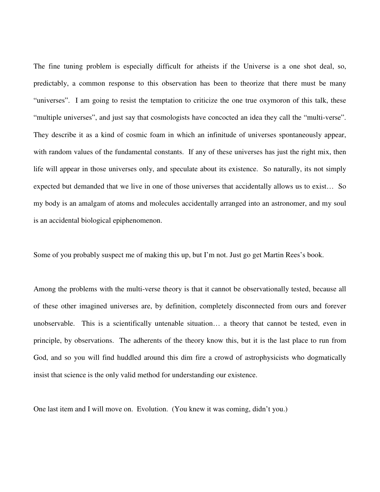The fine tuning problem is especially difficult for atheists if the Universe is a one shot deal, so, predictably, a common response to this observation has been to theorize that there must be many "universes". I am going to resist the temptation to criticize the one true oxymoron of this talk, these "multiple universes", and just say that cosmologists have concocted an idea they call the "multi-verse". They describe it as a kind of cosmic foam in which an infinitude of universes spontaneously appear, with random values of the fundamental constants. If any of these universes has just the right mix, then life will appear in those universes only, and speculate about its existence. So naturally, its not simply expected but demanded that we live in one of those universes that accidentally allows us to exist… So my body is an amalgam of atoms and molecules accidentally arranged into an astronomer, and my soul is an accidental biological epiphenomenon.

Some of you probably suspect me of making this up, but I'm not. Just go get Martin Rees's book.

Among the problems with the multi-verse theory is that it cannot be observationally tested, because all of these other imagined universes are, by definition, completely disconnected from ours and forever unobservable. This is a scientifically untenable situation… a theory that cannot be tested, even in principle, by observations. The adherents of the theory know this, but it is the last place to run from God, and so you will find huddled around this dim fire a crowd of astrophysicists who dogmatically insist that science is the only valid method for understanding our existence.

One last item and I will move on. Evolution. (You knew it was coming, didn't you.)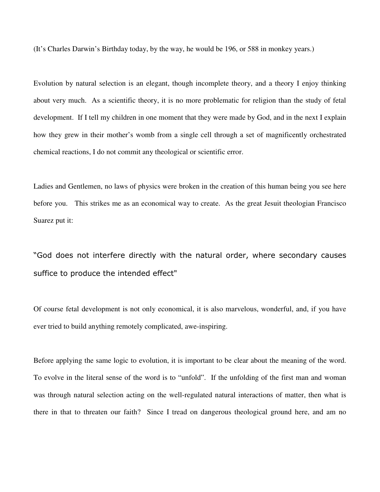(It's Charles Darwin's Birthday today, by the way, he would be 196, or 588 in monkey years.)

Evolution by natural selection is an elegant, though incomplete theory, and a theory I enjoy thinking about very much. As a scientific theory, it is no more problematic for religion than the study of fetal development. If I tell my children in one moment that they were made by God, and in the next I explain how they grew in their mother's womb from a single cell through a set of magnificently orchestrated chemical reactions, I do not commit any theological or scientific error.

Ladies and Gentlemen, no laws of physics were broken in the creation of this human being you see here before you. This strikes me as an economical way to create. As the great Jesuit theologian Francisco Suarez put it:

"God does not interfere directly with the natural order, where secondary causes suffice to produce the intended effect"

Of course fetal development is not only economical, it is also marvelous, wonderful, and, if you have ever tried to build anything remotely complicated, awe-inspiring.

Before applying the same logic to evolution, it is important to be clear about the meaning of the word. To evolve in the literal sense of the word is to "unfold". If the unfolding of the first man and woman was through natural selection acting on the well-regulated natural interactions of matter, then what is there in that to threaten our faith? Since I tread on dangerous theological ground here, and am no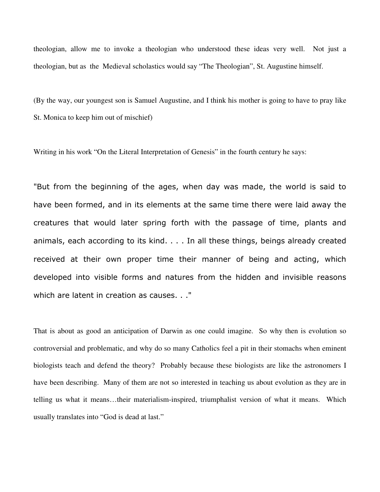theologian, allow me to invoke a theologian who understood these ideas very well. Not just a theologian, but as the Medieval scholastics would say "The Theologian", St. Augustine himself.

(By the way, our youngest son is Samuel Augustine, and I think his mother is going to have to pray like St. Monica to keep him out of mischief)

Writing in his work "On the Literal Interpretation of Genesis" in the fourth century he says:

"But from the beginning of the ages, when day was made, the world is said to have been formed, and in its elements at the same time there were laid away the creatures that would later spring forth with the passage of time, plants and animals, each according to its kind. . . . In all these things, beings already created received at their own proper time their manner of being and acting, which developed into visible forms and natures from the hidden and invisible reasons which are latent in creation as causes. . ."

That is about as good an anticipation of Darwin as one could imagine. So why then is evolution so controversial and problematic, and why do so many Catholics feel a pit in their stomachs when eminent biologists teach and defend the theory? Probably because these biologists are like the astronomers I have been describing. Many of them are not so interested in teaching us about evolution as they are in telling us what it means…their materialism-inspired, triumphalist version of what it means. Which usually translates into "God is dead at last."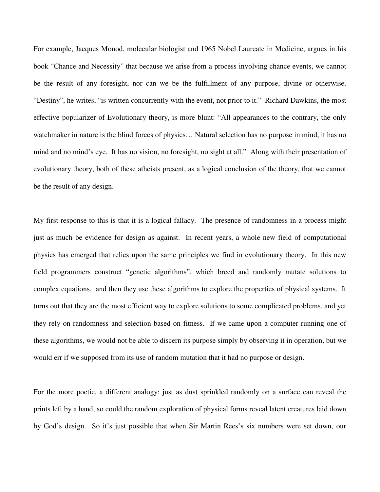For example, Jacques Monod, molecular biologist and 1965 Nobel Laureate in Medicine, argues in his book "Chance and Necessity" that because we arise from a process involving chance events, we cannot be the result of any foresight, nor can we be the fulfillment of any purpose, divine or otherwise. "Destiny", he writes, "is written concurrently with the event, not prior to it." Richard Dawkins, the most effective popularizer of Evolutionary theory, is more blunt: "All appearances to the contrary, the only watchmaker in nature is the blind forces of physics… Natural selection has no purpose in mind, it has no mind and no mind's eye. It has no vision, no foresight, no sight at all." Along with their presentation of evolutionary theory, both of these atheists present, as a logical conclusion of the theory, that we cannot be the result of any design.

My first response to this is that it is a logical fallacy. The presence of randomness in a process might just as much be evidence for design as against. In recent years, a whole new field of computational physics has emerged that relies upon the same principles we find in evolutionary theory. In this new field programmers construct "genetic algorithms", which breed and randomly mutate solutions to complex equations, and then they use these algorithms to explore the properties of physical systems. It turns out that they are the most efficient way to explore solutions to some complicated problems, and yet they rely on randomness and selection based on fitness. If we came upon a computer running one of these algorithms, we would not be able to discern its purpose simply by observing it in operation, but we would err if we supposed from its use of random mutation that it had no purpose or design.

For the more poetic, a different analogy: just as dust sprinkled randomly on a surface can reveal the prints left by a hand, so could the random exploration of physical forms reveal latent creatures laid down by God's design. So it's just possible that when Sir Martin Rees's six numbers were set down, our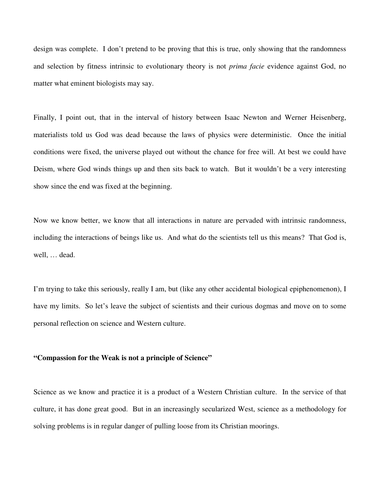design was complete. I don't pretend to be proving that this is true, only showing that the randomness and selection by fitness intrinsic to evolutionary theory is not *prima facie* evidence against God, no matter what eminent biologists may say.

Finally, I point out, that in the interval of history between Isaac Newton and Werner Heisenberg, materialists told us God was dead because the laws of physics were deterministic. Once the initial conditions were fixed, the universe played out without the chance for free will. At best we could have Deism, where God winds things up and then sits back to watch. But it wouldn't be a very interesting show since the end was fixed at the beginning.

Now we know better, we know that all interactions in nature are pervaded with intrinsic randomness, including the interactions of beings like us. And what do the scientists tell us this means? That God is, well, … dead.

I'm trying to take this seriously, really I am, but (like any other accidental biological epiphenomenon), I have my limits. So let's leave the subject of scientists and their curious dogmas and move on to some personal reflection on science and Western culture.

#### **"Compassion for the Weak is not a principle of Science"**

Science as we know and practice it is a product of a Western Christian culture. In the service of that culture, it has done great good. But in an increasingly secularized West, science as a methodology for solving problems is in regular danger of pulling loose from its Christian moorings.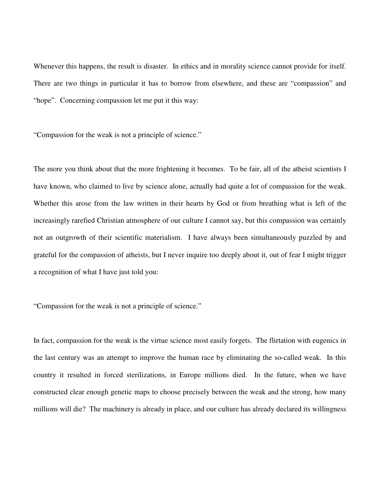Whenever this happens, the result is disaster. In ethics and in morality science cannot provide for itself. There are two things in particular it has to borrow from elsewhere, and these are "compassion" and "hope". Concerning compassion let me put it this way:

"Compassion for the weak is not a principle of science."

The more you think about that the more frightening it becomes. To be fair, all of the atheist scientists I have known, who claimed to live by science alone, actually had quite a lot of compassion for the weak. Whether this arose from the law written in their hearts by God or from breathing what is left of the increasingly rarefied Christian atmosphere of our culture I cannot say, but this compassion was certainly not an outgrowth of their scientific materialism. I have always been simultaneously puzzled by and grateful for the compassion of atheists, but I never inquire too deeply about it, out of fear I might trigger a recognition of what I have just told you:

"Compassion for the weak is not a principle of science."

In fact, compassion for the weak is the virtue science most easily forgets. The flirtation with eugenics in the last century was an attempt to improve the human race by eliminating the so-called weak. In this country it resulted in forced sterilizations, in Europe millions died. In the future, when we have constructed clear enough genetic maps to choose precisely between the weak and the strong, how many millions will die? The machinery is already in place, and our culture has already declared its willingness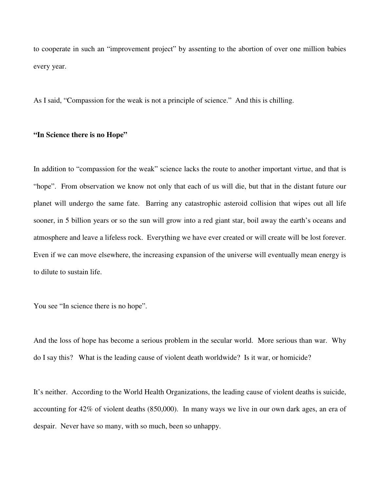to cooperate in such an "improvement project" by assenting to the abortion of over one million babies every year.

As I said, "Compassion for the weak is not a principle of science." And this is chilling.

# **"In Science there is no Hope"**

In addition to "compassion for the weak" science lacks the route to another important virtue, and that is "hope". From observation we know not only that each of us will die, but that in the distant future our planet will undergo the same fate. Barring any catastrophic asteroid collision that wipes out all life sooner, in 5 billion years or so the sun will grow into a red giant star, boil away the earth's oceans and atmosphere and leave a lifeless rock. Everything we have ever created or will create will be lost forever. Even if we can move elsewhere, the increasing expansion of the universe will eventually mean energy is to dilute to sustain life.

You see "In science there is no hope".

And the loss of hope has become a serious problem in the secular world. More serious than war. Why do I say this? What is the leading cause of violent death worldwide? Is it war, or homicide?

It's neither. According to the World Health Organizations, the leading cause of violent deaths is suicide, accounting for 42% of violent deaths (850,000). In many ways we live in our own dark ages, an era of despair. Never have so many, with so much, been so unhappy.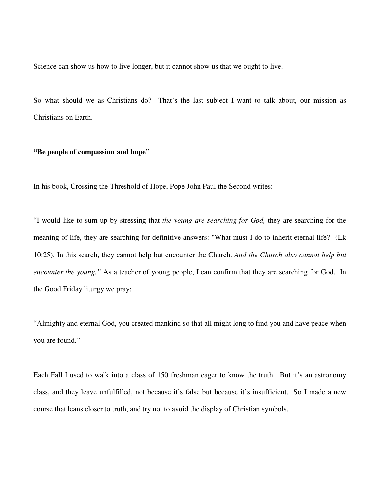Science can show us how to live longer, but it cannot show us that we ought to live.

So what should we as Christians do? That's the last subject I want to talk about, our mission as Christians on Earth.

### **"Be people of compassion and hope"**

In his book, Crossing the Threshold of Hope, Pope John Paul the Second writes:

"I would like to sum up by stressing that *the young are searching for God,* they are searching for the meaning of life, they are searching for definitive answers: "What must I do to inherit eternal life?" (Lk 10:25). In this search, they cannot help but encounter the Church. *And the Church also cannot help but encounter the young.*" As a teacher of young people, I can confirm that they are searching for God. In the Good Friday liturgy we pray:

"Almighty and eternal God, you created mankind so that all might long to find you and have peace when you are found."

Each Fall I used to walk into a class of 150 freshman eager to know the truth. But it's an astronomy class, and they leave unfulfilled, not because it's false but because it's insufficient. So I made a new course that leans closer to truth, and try not to avoid the display of Christian symbols.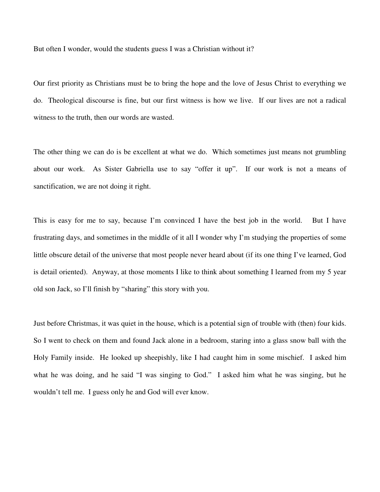But often I wonder, would the students guess I was a Christian without it?

Our first priority as Christians must be to bring the hope and the love of Jesus Christ to everything we do. Theological discourse is fine, but our first witness is how we live. If our lives are not a radical witness to the truth, then our words are wasted.

The other thing we can do is be excellent at what we do. Which sometimes just means not grumbling about our work. As Sister Gabriella use to say "offer it up". If our work is not a means of sanctification, we are not doing it right.

This is easy for me to say, because I'm convinced I have the best job in the world. But I have frustrating days, and sometimes in the middle of it all I wonder why I'm studying the properties of some little obscure detail of the universe that most people never heard about (if its one thing I've learned, God is detail oriented). Anyway, at those moments I like to think about something I learned from my 5 year old son Jack, so I'll finish by "sharing" this story with you.

Just before Christmas, it was quiet in the house, which is a potential sign of trouble with (then) four kids. So I went to check on them and found Jack alone in a bedroom, staring into a glass snow ball with the Holy Family inside. He looked up sheepishly, like I had caught him in some mischief. I asked him what he was doing, and he said "I was singing to God." I asked him what he was singing, but he wouldn't tell me. I guess only he and God will ever know.